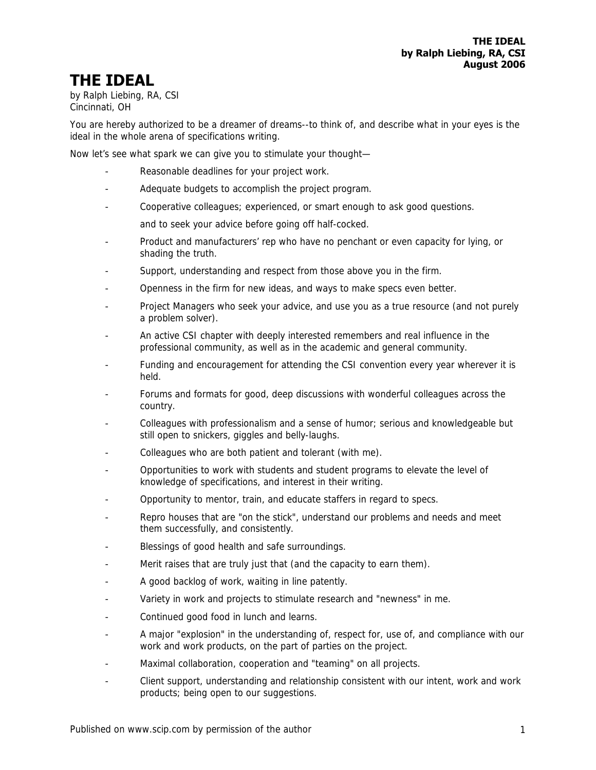## **THE IDEAL**

by Ralph Liebing, RA, CSI Cincinnati, OH

You are hereby authorized to be a dreamer of dreams--to think of, and describe what in your eyes is the ideal in the whole arena of specifications writing.

Now let's see what spark we can give you to stimulate your thought—

- Reasonable deadlines for your project work.
- Adequate budgets to accomplish the project program.
- Cooperative colleagues; experienced, or smart enough to ask good questions.
	- and to seek your advice before going off half-cocked.
- Product and manufacturers' rep who have no penchant or even capacity for lying, or shading the truth.
- Support, understanding and respect from those above you in the firm.
- Openness in the firm for new ideas, and ways to make specs even better.
- Project Managers who seek your advice, and use you as a true resource (and not purely a problem solver).
- An active CSI chapter with deeply interested remembers and real influence in the professional community, as well as in the academic and general community.
- Funding and encouragement for attending the CSI convention every year wherever it is held.
- Forums and formats for good, deep discussions with wonderful colleagues across the country.
- Colleagues with professionalism and a sense of humor; serious and knowledgeable but still open to snickers, giggles and belly-laughs.
- Colleagues who are both patient and tolerant (with me).
- Opportunities to work with students and student programs to elevate the level of knowledge of specifications, and interest in their writing.
- Opportunity to mentor, train, and educate staffers in regard to specs.
- Repro houses that are "on the stick", understand our problems and needs and meet them successfully, and consistently.
- Blessings of good health and safe surroundings.
- Merit raises that are truly just that (and the capacity to earn them).
- A good backlog of work, waiting in line patently.
- Variety in work and projects to stimulate research and "newness" in me.
- Continued good food in lunch and learns.
- A major "explosion" in the understanding of, respect for, use of, and compliance with our work and work products, on the part of parties on the project.
- Maximal collaboration, cooperation and "teaming" on all projects.
- Client support, understanding and relationship consistent with our intent, work and work products; being open to our suggestions.